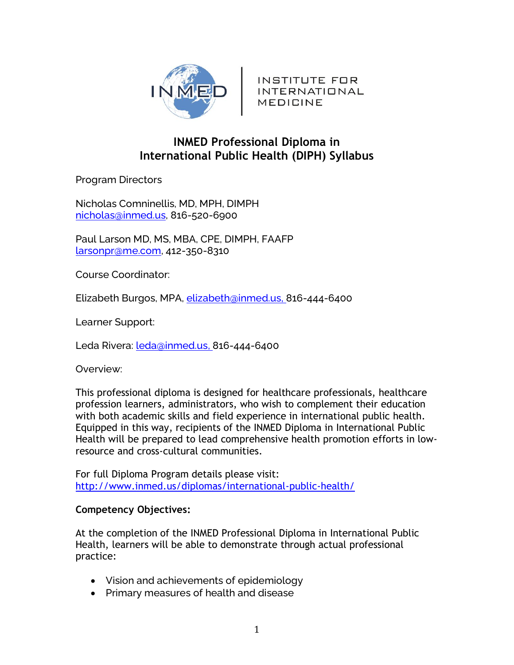

INSTITUTE FOR **INTERNATIONAL** MEDICINE

# **INMED Professional Diploma in International Public Health (DIPH) Syllabus**

Program Directors

Nicholas Comninellis, MD, MPH, DIMPH [nicholas@inmed.us,](mailto:nicholas@inmed.us) 816-520-6900

Paul Larson MD, MS, MBA, CPE, DIMPH, FAAFP [larsonpr@me.com,](mailto:larsonpr@me.com) 412-350-8310

Course Coordinator:

Elizabeth Burgos, MPA, [elizabeth@inmed.us,](mailto:elizabeth@inmed.us) 816-444-6400

Learner Support:

Leda Rivera: *leda@inmed.us*, 816-444-6400

Overview:

This professional diploma is designed for healthcare professionals, healthcare profession learners, administrators, who wish to complement their education with both academic skills and field experience in international public health. Equipped in this way, recipients of the INMED Diploma in International Public Health will be prepared to lead comprehensive health promotion efforts in lowresource and cross-cultural communities.

For full Diploma Program details please visit: <http://www.inmed.us/diplomas/international-public-health/>

## **Competency Objectives:**

At the completion of the INMED Professional Diploma in International Public Health, learners will be able to demonstrate through actual professional practice:

- Vision and achievements of epidemiology
- Primary measures of health and disease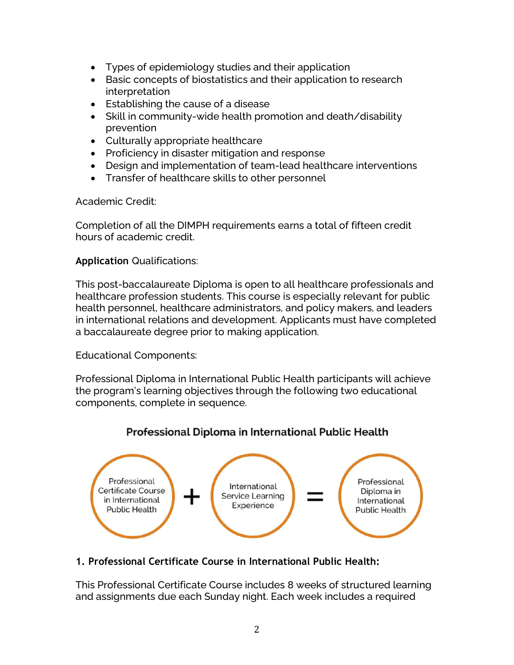- Types of epidemiology studies and their application
- Basic concepts of biostatistics and their application to research interpretation
- Establishing the cause of a disease
- Skill in community-wide health promotion and death/disability prevention
- Culturally appropriate healthcare
- Proficiency in disaster mitigation and response
- Design and implementation of team-lead healthcare interventions
- Transfer of healthcare skills to other personnel

Academic Credit:

Completion of all the DIMPH requirements earns a total of fifteen credit hours of academic credit.

## **Application** Qualifications:

This post-baccalaureate Diploma is open to all healthcare professionals and healthcare profession students. This course is especially relevant for public health personnel, healthcare administrators, and policy makers, and leaders in international relations and development. Applicants must have completed a baccalaureate degree prior to making application.

Educational Components:

Professional Diploma in International Public Health participants will achieve the program's learning objectives through the following two educational components, complete in sequence.

# Professional Diploma in International Public Health



# **1. Professional Certificate Course in International Public Health:**

This Professional Certificate Course includes 8 weeks of structured learning and assignments due each Sunday night. Each week includes a required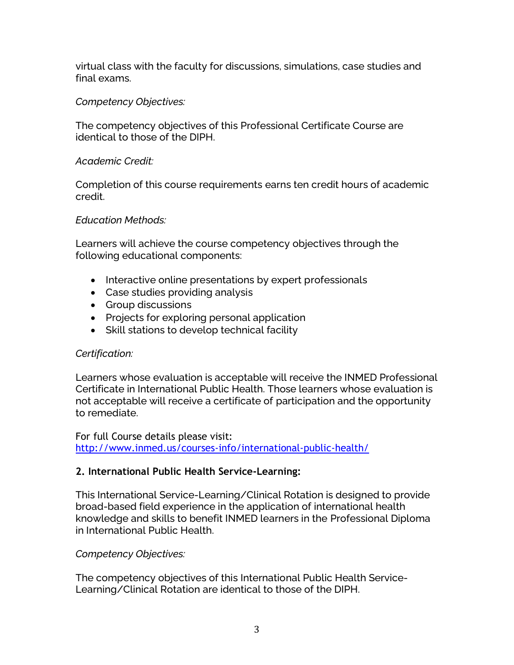virtual class with the faculty for discussions, simulations, case studies and final exams.

## *Competency Objectives:*

The competency objectives of this Professional Certificate Course are identical to those of the DIPH.

## *Academic Credit:*

Completion of this course requirements earns ten credit hours of academic credit.

### *Education Methods:*

Learners will achieve the course competency objectives through the following educational components:

- Interactive online presentations by expert professionals
- Case studies providing analysis
- Group discussions
- Projects for exploring personal application
- Skill stations to develop technical facility

## *Certification:*

Learners whose evaluation is acceptable will receive the INMED Professional Certificate in International Public Health. Those learners whose evaluation is not acceptable will receive a certificate of participation and the opportunity to remediate.

For full Course details please visit: <http://www.inmed.us/courses-info/international-public-health/>

## **2. International Public Health Service-Learning:**

This International Service-Learning/Clinical Rotation is designed to provide broad-based field experience in the application of international health knowledge and skills to benefit INMED learners in the Professional Diploma in International Public Health.

*Competency Objectives:*

The competency objectives of this International Public Health Service-Learning/Clinical Rotation are identical to those of the DIPH.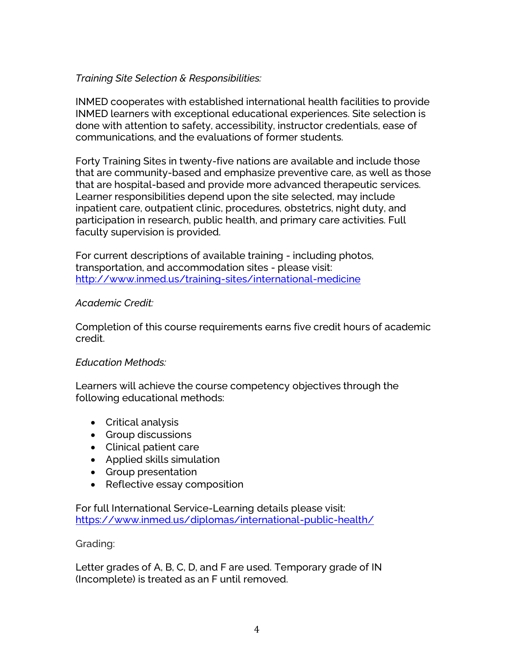## *Training Site Selection & Responsibilities:*

INMED cooperates with established international health facilities to provide INMED learners with exceptional educational experiences. Site selection is done with attention to safety, accessibility, instructor credentials, ease of communications, and the evaluations of former students.

Forty Training Sites in twenty-five nations are available and include those that are community-based and emphasize preventive care, as well as those that are hospital-based and provide more advanced therapeutic services. Learner responsibilities depend upon the site selected, may include inpatient care, outpatient clinic, procedures, obstetrics, night duty, and participation in research, public health, and primary care activities. Full faculty supervision is provided.

For current descriptions of available training - including photos, transportation, and accommodation sites - please visit: [http://www.inmed.us/training-sites/international-medicine](https://www.inmed.us/training-sites/international-medicine/)

### *Academic Credit:*

Completion of this course requirements earns five credit hours of academic credit.

### *Education Methods:*

Learners will achieve the course competency objectives through the following educational methods:

- Critical analysis
- Group discussions
- Clinical patient care
- Applied skills simulation
- Group presentation
- Reflective essay composition

For full International Service-Learning details please visit: <https://www.inmed.us/diplomas/international-public-health/>

### Grading:

Letter grades of A, B, C, D, and F are used. Temporary grade of IN (Incomplete) is treated as an F until removed.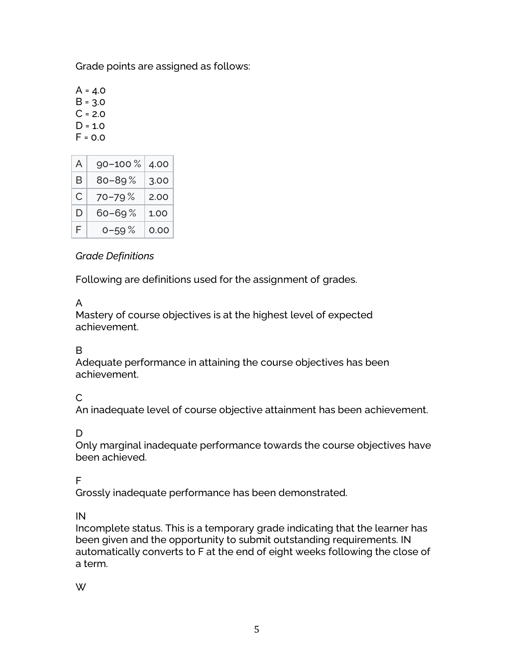Grade points are assigned as follows:

 $A = 4.0$  $B = 3.0$  $C = 2.0$  $D = 1.0$  $F = 0.0$ 

| A | 90-100%    | 4.00 |
|---|------------|------|
| B | $80 - 89%$ | 3.00 |
| C | 70-79%     | 2.00 |
| D | 60–69 %    | 1.00 |
| F | $0 - 59%$  | 0.00 |

## *Grade Definitions*

Following are definitions used for the assignment of grades.

# A

Mastery of course objectives is at the highest level of expected achievement.

# B

Adequate performance in attaining the course objectives has been achievement.

# C

An inadequate level of course objective attainment has been achievement.

# D

Only marginal inadequate performance towards the course objectives have been achieved.

# F

Grossly inadequate performance has been demonstrated.

## IN

Incomplete status. This is a temporary grade indicating that the learner has been given and the opportunity to submit outstanding requirements. IN automatically converts to F at the end of eight weeks following the close of a term.

## W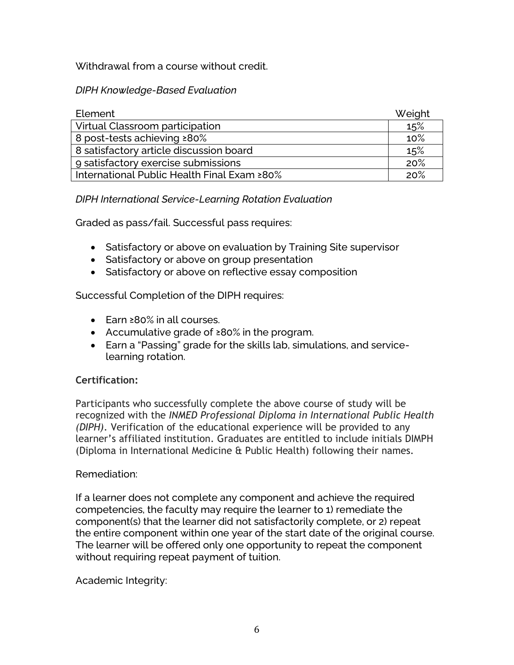Withdrawal from a course without credit.

*DIPH Knowledge-Based Evaluation*

| Element                                     | Weight |
|---------------------------------------------|--------|
| Virtual Classroom participation             | 15%    |
| 8 post-tests achieving ≥80%                 |        |
| 8 satisfactory article discussion board     |        |
| 9 satisfactory exercise submissions         |        |
| International Public Health Final Exam ≥80% |        |

## *DIPH International Service-Learning Rotation Evaluation*

Graded as pass/fail. Successful pass requires:

- Satisfactory or above on evaluation by Training Site supervisor
- Satisfactory or above on group presentation
- Satisfactory or above on reflective essay composition

Successful Completion of the DIPH requires:

- Earn ≥80% in all courses.
- Accumulative grade of ≥80% in the program.
- Earn a "Passing" grade for the skills lab, simulations, and servicelearning rotation.

# **Certification:**

Participants who successfully complete the above course of study will be recognized with the *INMED Professional Diploma in International Public Health (DIPH)*. Verification of the educational experience will be provided to any learner's affiliated institution. Graduates are entitled to include initials DIMPH (Diploma in International Medicine & Public Health) following their names.

## Remediation:

If a learner does not complete any component and achieve the required competencies, the faculty may require the learner to 1) remediate the component(s) that the learner did not satisfactorily complete, or 2) repeat the entire component within one year of the start date of the original course. The learner will be offered only one opportunity to repeat the component without requiring repeat payment of tuition.

Academic Integrity: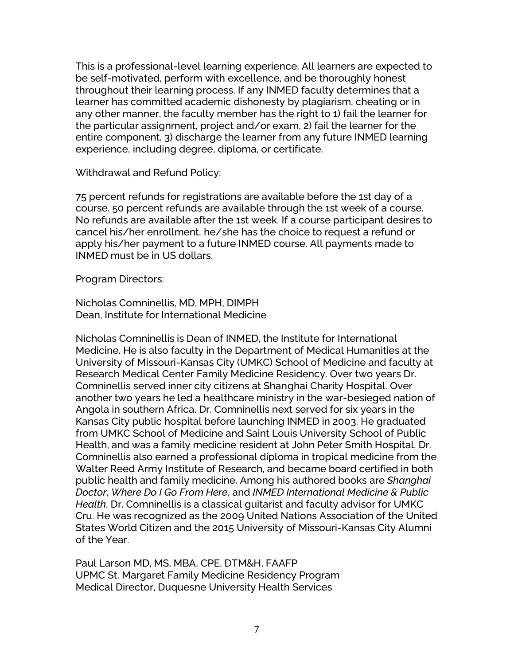This is a professional-level learning experience. All learners are expected to be self-motivated, perform with excellence, and be thoroughly honest throughout their learning process. If any INMED faculty determines that a learner has committed academic dishonesty by plagiarism, cheating or in any other manner, the faculty member has the right to 1) fail the learner for the particular assignment, project and/or exam, 2) fail the learner for the entire component, 3) discharge the learner from any future INMED learning experience, including degree, diploma, or certificate.

Withdrawal and Refund Policy:

75 percent refunds for registrations are available before the 1st day of a course. 50 percent refunds are available through the 1st week of a course. No refunds are available after the 1st week. If a course participant desires to cancel his/her enrollment, he/she has the choice to request a refund or apply his/her payment to a future INMED course. All payments made to INMED must be in US dollars.

Program Directors:

Nicholas Comninellis, MD, MPH, DIMPH Dean, Institute for International Medicine

Nicholas Comninellis is Dean of INMED, the Institute for International Medicine. He is also faculty in the Department of Medical Humanities at the University of Missouri-Kansas City (UMKC) School of Medicine and faculty at Research Medical Center Family Medicine Residency. Over two years Dr. Comninellis served inner city citizens at Shanghai Charity Hospital. Over another two years he led a healthcare ministry in the war-besieged nation of Angola in southern Africa. Dr. Comninellis next served for six years in the Kansas City public hospital before launching INMED in 2003. He graduated from UMKC School of Medicine and Saint Louis University School of Public Health, and was a family medicine resident at John Peter Smith Hospital. Dr. Comninellis also earned a professional diploma in tropical medicine from the Walter Reed Army Institute of Research, and became board certified in both public health and family medicine. Among his authored books are *Shanghai Doctor*, *Where Do I Go From Here*, and *INMED International Medicine & Public Health*. Dr. Comninellis is a classical guitarist and faculty advisor for UMKC Cru. He was recognized as the 2009 United Nations Association of the United States World Citizen and the 2015 University of Missouri-Kansas City Alumni of the Year.

Paul Larson MD, MS, MBA, CPE, DTM&H, FAAFP UPMC St. Margaret Family Medicine Residency Program Medical Director, Duquesne University Health Services